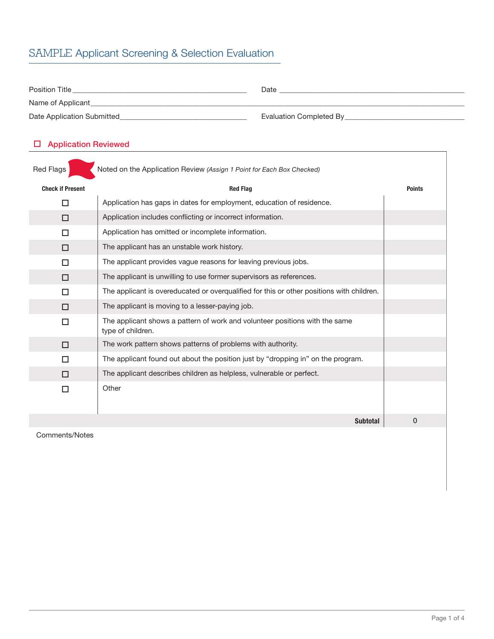# SAMPLE Applicant Screening & Selection Evaluation

| <b>Position Title</b>      | Date                    |
|----------------------------|-------------------------|
| Name of Applicant          |                         |
| Date Application Submitted | Evaluation Completed By |

## $\square$  Application Reviewed

| Red Flags<br>Noted on the Application Review (Assign 1 Point for Each Box Checked) |                                                                                                  |               |
|------------------------------------------------------------------------------------|--------------------------------------------------------------------------------------------------|---------------|
| <b>Check if Present</b>                                                            | <b>Red Flag</b>                                                                                  | <b>Points</b> |
| п                                                                                  | Application has gaps in dates for employment, education of residence.                            |               |
| П                                                                                  | Application includes conflicting or incorrect information.                                       |               |
| П                                                                                  | Application has omitted or incomplete information.                                               |               |
| □                                                                                  | The applicant has an unstable work history.                                                      |               |
| п                                                                                  | The applicant provides vague reasons for leaving previous jobs.                                  |               |
| П                                                                                  | The applicant is unwilling to use former supervisors as references.                              |               |
| п                                                                                  | The applicant is overeducated or overgualified for this or other positions with children.        |               |
| п                                                                                  | The applicant is moving to a lesser-paying job.                                                  |               |
| $\Box$                                                                             | The applicant shows a pattern of work and volunteer positions with the same<br>type of children. |               |
| □                                                                                  | The work pattern shows patterns of problems with authority.                                      |               |
| п                                                                                  | The applicant found out about the position just by "dropping in" on the program.                 |               |
| П                                                                                  | The applicant describes children as helpless, vulnerable or perfect.                             |               |
| П                                                                                  | Other                                                                                            |               |
|                                                                                    | <b>Subtotal</b>                                                                                  | 0             |

Comments/Notes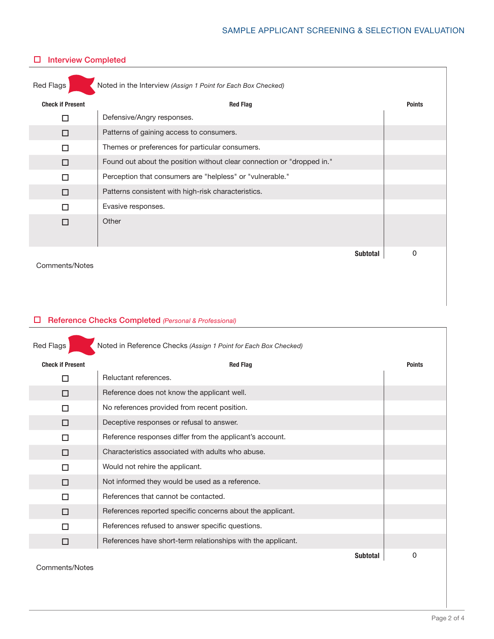## SAMPLE APPLICANT SCREENING & SELECTION EVALUATION

| Noted in the Interview (Assign 1 Point for Each Box Checked)<br>Red Flags |                                                                        |                 |               |
|---------------------------------------------------------------------------|------------------------------------------------------------------------|-----------------|---------------|
| <b>Check if Present</b>                                                   | <b>Red Flag</b>                                                        |                 | <b>Points</b> |
| п                                                                         | Defensive/Angry responses.                                             |                 |               |
| П                                                                         | Patterns of gaining access to consumers.                               |                 |               |
| п                                                                         | Themes or preferences for particular consumers.                        |                 |               |
| П                                                                         | Found out about the position without clear connection or "dropped in." |                 |               |
| П                                                                         | Perception that consumers are "helpless" or "vulnerable."              |                 |               |
| □                                                                         | Patterns consistent with high-risk characteristics.                    |                 |               |
| П                                                                         | Evasive responses.                                                     |                 |               |
| п                                                                         | Other                                                                  |                 |               |
| Comments/Notes                                                            |                                                                        | <b>Subtotal</b> | 0             |

## $\square$  Interview Completed

### o Reference Checks Completed *(Personal & Professional)*

| Noted in Reference Checks (Assign 1 Point for Each Box Checked)<br>Red Flags |                                                              |               |
|------------------------------------------------------------------------------|--------------------------------------------------------------|---------------|
| <b>Check if Present</b>                                                      | <b>Red Flag</b>                                              | <b>Points</b> |
| П                                                                            | Reluctant references.                                        |               |
| П                                                                            | Reference does not know the applicant well.                  |               |
| П                                                                            | No references provided from recent position.                 |               |
| □                                                                            | Deceptive responses or refusal to answer.                    |               |
| П                                                                            | Reference responses differ from the applicant's account.     |               |
| П                                                                            | Characteristics associated with adults who abuse.            |               |
| п                                                                            | Would not rehire the applicant.                              |               |
| П                                                                            | Not informed they would be used as a reference.              |               |
| П                                                                            | References that cannot be contacted.                         |               |
| □                                                                            | References reported specific concerns about the applicant.   |               |
| П                                                                            | References refused to answer specific questions.             |               |
| □                                                                            | References have short-term relationships with the applicant. |               |
| Comments/Notes                                                               | <b>Subtotal</b>                                              | 0             |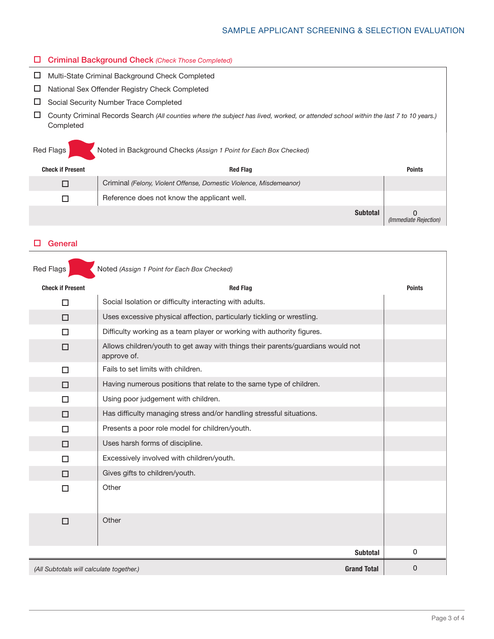### SAMPLE APPLICANT SCREENING & SELECTION EVALUATION

#### o Criminal Background Check *(Check Those Completed)*

| □ Multi-State Criminal Background Check Completed                                                                                                   |
|-----------------------------------------------------------------------------------------------------------------------------------------------------|
| $\Box$ National Sex Offender Registry Check Completed                                                                                               |
| $\Box$ Social Security Number Trace Completed                                                                                                       |
| □ County Criminal Records Search (All counties where the subject has lived, worked, or attended school within the last 7 to 10 years.)<br>Completed |

| Red Flags               | Noted in Background Checks (Assign 1 Point for Each Box Checked)   |                       |
|-------------------------|--------------------------------------------------------------------|-----------------------|
| <b>Check if Present</b> | <b>Red Flag</b>                                                    | <b>Points</b>         |
|                         | Criminal (Felony, Violent Offense, Domestic Violence, Misdemeanor) |                       |
|                         | Reference does not know the applicant well.                        |                       |
|                         | <b>Subtotal</b>                                                    | (Immediate Rejection) |

#### $\square$  General

| Noted (Assign 1 Point for Each Box Checked)<br><b>Red Flags</b> |                                                                                                |               |
|-----------------------------------------------------------------|------------------------------------------------------------------------------------------------|---------------|
| <b>Check if Present</b>                                         | <b>Red Flag</b>                                                                                | <b>Points</b> |
| $\Box$                                                          | Social Isolation or difficulty interacting with adults.                                        |               |
| □                                                               | Uses excessive physical affection, particularly tickling or wrestling.                         |               |
| $\Box$                                                          | Difficulty working as a team player or working with authority figures.                         |               |
| □                                                               | Allows children/youth to get away with things their parents/guardians would not<br>approve of. |               |
| $\Box$                                                          | Fails to set limits with children.                                                             |               |
| □                                                               | Having numerous positions that relate to the same type of children.                            |               |
| □                                                               | Using poor judgement with children.                                                            |               |
| $\Box$                                                          | Has difficulty managing stress and/or handling stressful situations.                           |               |
| □                                                               | Presents a poor role model for children/youth.                                                 |               |
| □                                                               | Uses harsh forms of discipline.                                                                |               |
| □                                                               | Excessively involved with children/youth.                                                      |               |
| п                                                               | Gives gifts to children/youth.                                                                 |               |
| $\Box$                                                          | Other                                                                                          |               |
| □                                                               | Other                                                                                          |               |
|                                                                 | <b>Subtotal</b>                                                                                | 0             |
| (All Subtotals will calculate together.)                        | <b>Grand Total</b>                                                                             | 0             |